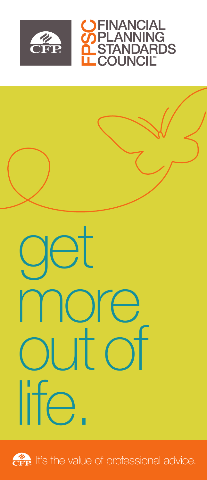



# det more out of life.



**CFP** It's the value of professional advice.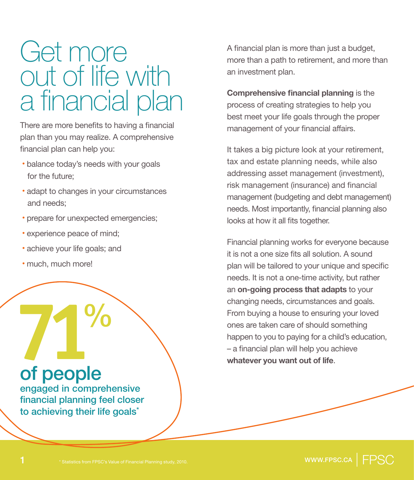## Get more out of life with a financial plan

There are more benefits to having a financial plan than you may realize. A comprehensive financial plan can help you:

- **·**balance today's needs with your goals for the future;
- **·**adapt to changes in your circumstances and needs;
- **·**prepare for unexpected emergencies;
- **·**experience peace of mind;
- **·**achieve your life goals; and
- **·**much, much more!

# **71**% of people

engaged in comprehensive financial planning feel closer to achieving their life goals<sup>\*</sup>

A financial plan is more than just a budget, more than a path to retirement, and more than an investment plan.

**Comprehensive financial planning** is the process of creating strategies to help you best meet your life goals through the proper management of your financial affairs.

It takes a big picture look at your retirement, tax and estate planning needs, while also addressing asset management (investment), risk management (insurance) and financial management (budgeting and debt management) needs. Most importantly, financial planning also looks at how it all fits together.

Financial planning works for everyone because it is not a one size fits all solution. A sound plan will be tailored to your unique and specific needs. It is not a one-time activity, but rather an **on-going process that adapts** to your changing needs, circumstances and goals. From buying a house to ensuring your loved ones are taken care of should something happen to you to paying for a child's education, – a financial plan will help you achieve **whatever you want out of life**.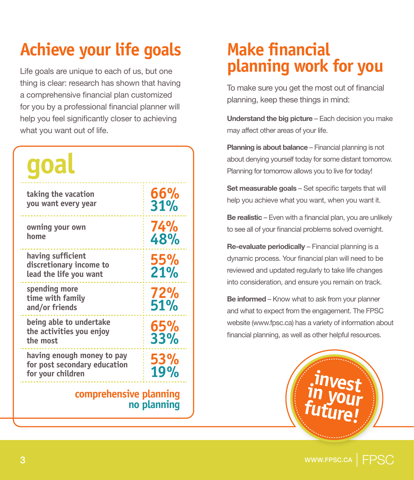## **Achieve your life goals**

Life goals are unique to each of us, but one thing is clear: research has shown that having a comprehensive financial plan customized for you by a professional financial planner will help you feel significantly closer to achieving what you want out of life.

| goal                                                                            |            |  |
|---------------------------------------------------------------------------------|------------|--|
| taking the vacation<br>you want every year                                      | 66%<br>31% |  |
| owning your own<br>home                                                         | 74%<br>48% |  |
| having sufficient<br>discretionary income to<br>lead the life you want          | 55%<br>21% |  |
| spending more<br>time with family<br>and/or friends                             | 72%<br>51% |  |
| being able to undertake<br>the activities you enjoy<br>the most                 | 65%<br>33% |  |
| having enough money to pay<br>for post secondary education<br>for your children | 53%<br>19% |  |

#### **comprehensive planning no planning**

### **Make financial planning work for you**

To make sure you get the most out of financial planning, keep these things in mind:

**Understand the big picture** – Each decision you make may affect other areas of your life.

**Planning is about balance** – Financial planning is not about denying yourself today for some distant tomorrow. Planning for tomorrow allows you to live for today!

**Set measurable goals** – Set specific targets that will help you achieve what you want, when you want it.

**Be realistic –** Even with a financial plan, you are unlikely to see all of your financial problems solved overnight.

**Re-evaluate periodically** – Financial planning is a dynamic process. Your financial plan will need to be reviewed and updated regularly to take life changes into consideration, and ensure you remain on track.

**Be informed** – Know what to ask from your planner and what to expect from the engagement. The FPSC website (www.fpsc.ca) has a variety of information about financial planning, as well as other helpful resources.

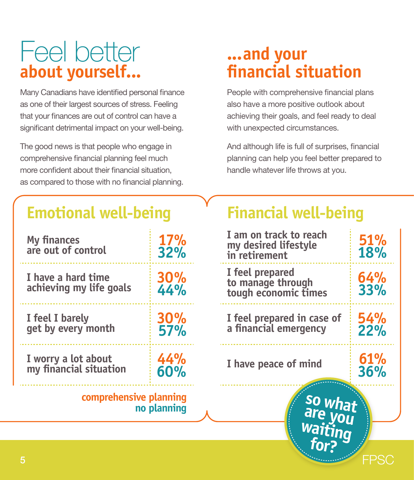## Feel better **about yourself...**

Many Canadians have identified personal finance as one of their largest sources of stress. Feeling that your finances are out of control can have a significant detrimental impact on your well-being.

The good news is that people who engage in comprehensive financial planning feel much more confident about their financial situation, as compared to those with no financial planning.

## **...and your financial situation**

People with comprehensive financial plans also have a more positive outlook about achieving their goals, and feel ready to deal with unexpected circumstances.

And although life is full of surprises, financial planning can help you feel better prepared to handle whatever life throws at you.

### **Emotional well-being**

| <b>My finances</b><br>are out of control      | 17%<br>32%        |  |  |
|-----------------------------------------------|-------------------|--|--|
| I have a hard time<br>achieving my life goals | 30%<br>44%        |  |  |
| I feel I barely<br>get by every month         | <b>30%</b><br>57% |  |  |
| I worry a lot about<br>my financial situation | 44%<br>60%        |  |  |
| comprehensive planning<br>no planning         |                   |  |  |
|                                               |                   |  |  |

## **Financial well-being**

| comprehensive planning<br>so what<br>are you<br>waiting<br>no planning |                          |                                                                 |                   |
|------------------------------------------------------------------------|--------------------------|-----------------------------------------------------------------|-------------------|
| I worry a lot about<br>my financial situation                          | 44%<br>60%               | I have peace of mind                                            | 61%<br>36%        |
| I feel I barely<br>get by every month                                  | <b>30%</b><br><b>57%</b> | I feel prepared in case of<br>a financial emergency             | 54%<br>22%        |
| I have a hard time<br>achieving my life goals                          | 30%<br>44%               | I feel prepared<br>to manage through<br>tough economic times    | 64%<br>33%        |
| My finances<br>are out of control                                      | 17%<br>32%               | I am on track to reach<br>my desired lifestyle<br>in retirement | <b>51%</b><br>18% |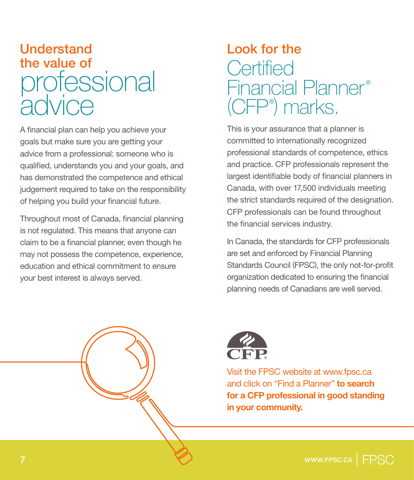## Understand the value of **pressional**  $div$ ice

A financial plan can help you achieve your goals but make sure you are getting your advice from a professional: someone who is qualified, understands you and your goals, and has demonstrated the competence and ethical judgement required to take on the responsibility of helping you build your financial future.

Throughout most of Canada, financial planning is not regulated. This means that anyone can claim to be a financial planner, even though he may not possess the competence, experience, education and ethical commitment to ensure your best interest is always served.

## Look for the **Certified** Financial Planner<sup>®</sup> (CFP®) marks.

This is your assurance that a planner is committed to internationally recognized professional standards of competence, ethics and practice. CFP professionals represent the largest identifiable body of financial planners in Canada, with over 17,500 individuals meeting the strict standards required of the designation. CFP professionals can be found throughout the financial services industry.

In Canada, the standards for CFP professionals are set and enforced by Financial Planning Standards Council (FPSC), the only not-for-profit organization dedicated to ensuring the financial planning needs of Canadians are well served.



Visit the FPSC website at www.fpsc.ca and click on "Find a Planner" **to search for a CFP professional in good standing in your community.**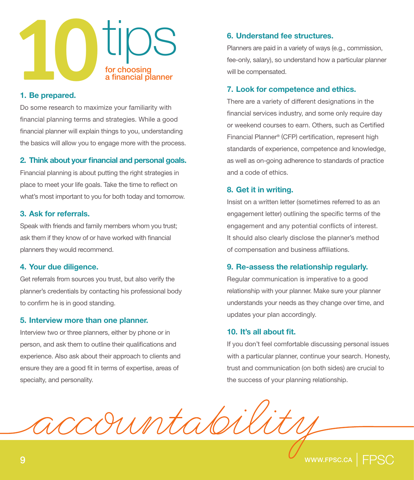

#### **1. Be prepared.**

Do some research to maximize your familiarity with financial planning terms and strategies. While a good financial planner will explain things to you, understanding the basics will allow you to engage more with the process.

#### **2. Think about your financial and personal goals.**

Financial planning is about putting the right strategies in place to meet your life goals. Take the time to reflect on what's most important to you for both today and tomorrow.

#### **3. Ask for referrals.**

Speak with friends and family members whom you trust; ask them if they know of or have worked with financial planners they would recommend.

#### **4. Your due diligence.**

Get referrals from sources you trust, but also verify the planner's credentials by contacting his professional body to confirm he is in good standing.

#### **5. Interview more than one planner.**

Interview two or three planners, either by phone or in person, and ask them to outline their qualifications and experience. Also ask about their approach to clients and ensure they are a good fit in terms of expertise, areas of specialty, and personality.

#### **6. Understand fee structures.**

Planners are paid in a variety of ways (e.g., commission, fee-only, salary), so understand how a particular planner will be compensated.

#### **7. Look for competence and ethics.**

There are a variety of different designations in the financial services industry, and some only require day or weekend courses to earn. Others, such as Certified Financial Planner® (CFP) certification, represent high standards of experience, competence and knowledge, as well as on-going adherence to standards of practice and a code of ethics.

#### **8. Get it in writing.**

Insist on a written letter (sometimes referred to as an engagement letter) outlining the specific terms of the engagement and any potential conflicts of interest. It should also clearly disclose the planner's method of compensation and business affiliations.

#### **9. Re-assess the relationship regularly.**

Regular communication is imperative to a good relationship with your planner. Make sure your planner understands your needs as they change over time, and updates your plan accordingly.

#### **10. It's all about fit.**

If you don't feel comfortable discussing personal issues with a particular planner, continue your search. Honesty, trust and communication (on both sides) are crucial to the success of your planning relationship.

rimtale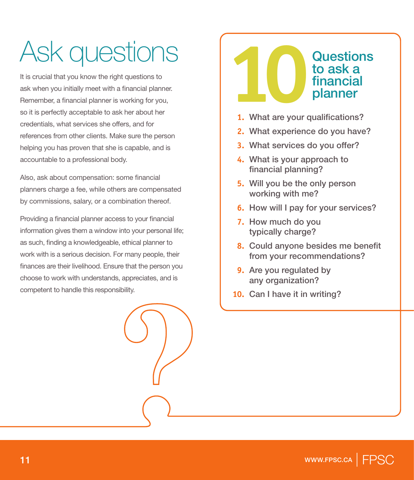## Ask questions

It is crucial that you know the right questions to ask when you initially meet with a financial planner. Remember, a financial planner is working for you, so it is perfectly acceptable to ask her about her credentials, what services she offers, and for references from other clients. Make sure the person helping you has proven that she is capable, and is accountable to a professional body.

Also, ask about compensation: some financial planners charge a fee, while others are compensated by commissions, salary, or a combination thereof.

Providing a financial planner access to your financial information gives them a window into your personal life; as such, finding a knowledgeable, ethical planner to work with is a serious decision. For many people, their finances are their livelihood. Ensure that the person you choose to work with understands, appreciates, and is competent to handle this responsibility.

## **1** Questions<br> **10** Questions<br> **10** Dianner<br> **11** What are your qualifications? to ask a financial planner

- **1.** What are your qualifications?
- **2.** What experience do you have?
- **3.** What services do you offer?
- **4.** What is your approach to financial planning?
- **5.** Will you be the only person working with me?
- **6.** How will I pay for your services?
- **7.** How much do you typically charge?
- **8.** Could anyone besides me benefit from your recommendations?
- **9.** Are you regulated by any organization?
- **10.** Can I have it in writing?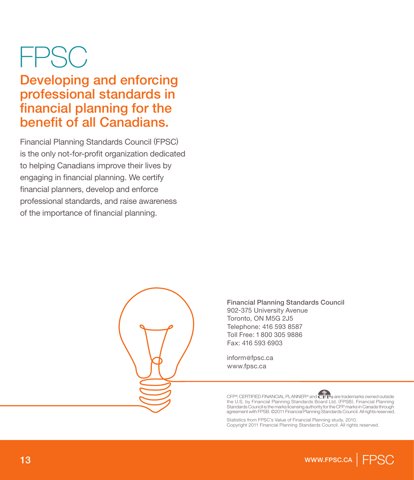## FPSC

Developing and enforcing professional standards in financial planning for the benefit of all Canadians.

Financial Planning Standards Council (FPSC) is the only not-for-profit organization dedicated to helping Canadians improve their lives by engaging in financial planning. We certify financial planners, develop and enforce professional standards, and raise awareness of the importance of financial planning.



Financial Planning Standards Council 902-375 University Avenue Toronto, ON M5G 2J5 Telephone: 416 593 8587 Toll Free: 1 800 305 9886 Fax: 416 593 6903

inform@fpsc.ca www.fpsc.ca



Statistics from FPSC's Value of Financial Planning study, 2010. Copyright 2011 Financial Planning Standards Council. All rights reserved.